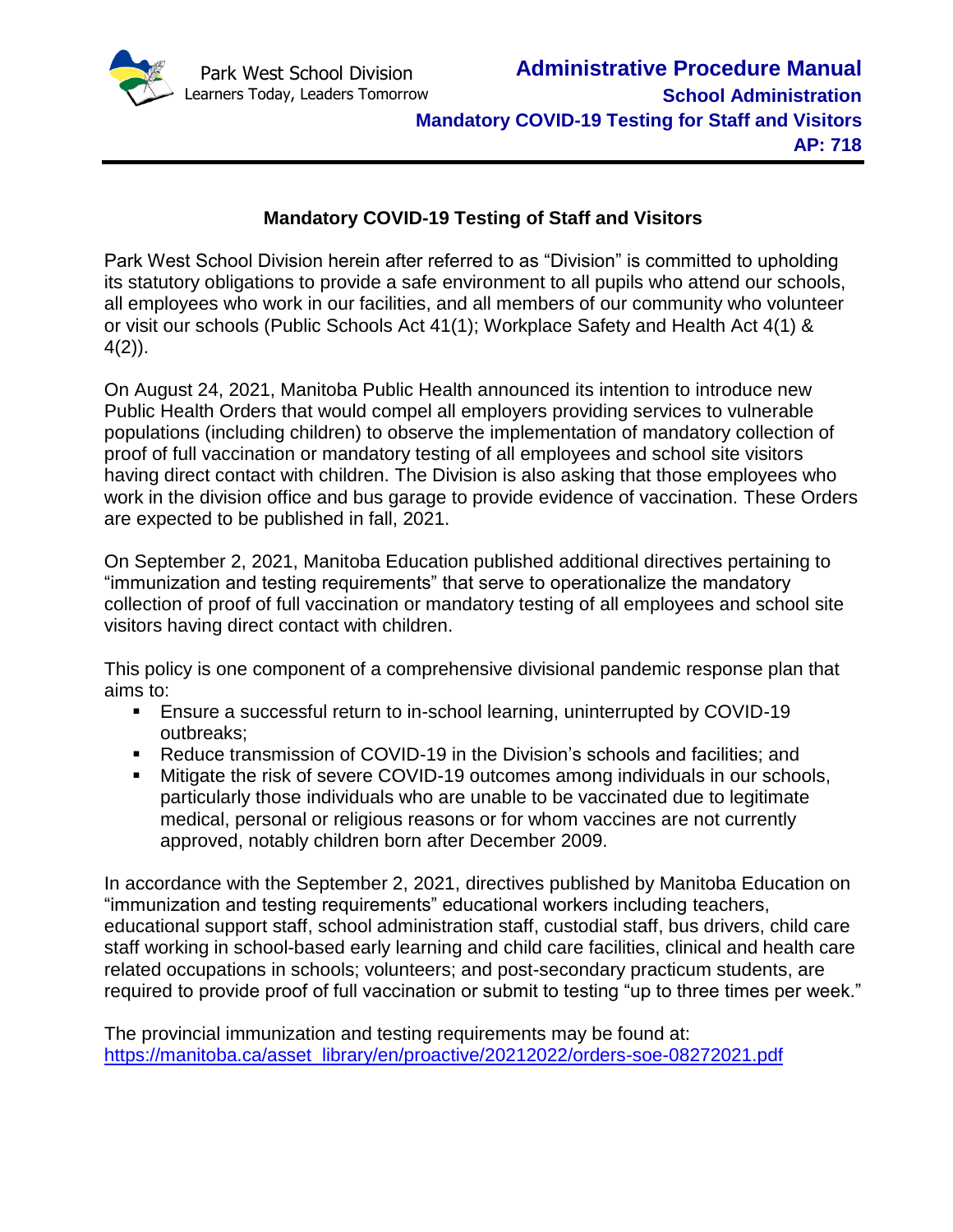

# **Mandatory COVID-19 Testing of Staff and Visitors**

Park West School Division herein after referred to as "Division" is committed to upholding its statutory obligations to provide a safe environment to all pupils who attend our schools, all employees who work in our facilities, and all members of our community who volunteer or visit our schools (Public Schools Act 41(1); Workplace Safety and Health Act 4(1) & 4(2)).

On August 24, 2021, Manitoba Public Health announced its intention to introduce new Public Health Orders that would compel all employers providing services to vulnerable populations (including children) to observe the implementation of mandatory collection of proof of full vaccination or mandatory testing of all employees and school site visitors having direct contact with children. The Division is also asking that those employees who work in the division office and bus garage to provide evidence of vaccination. These Orders are expected to be published in fall, 2021.

On September 2, 2021, Manitoba Education published additional directives pertaining to "immunization and testing requirements" that serve to operationalize the mandatory collection of proof of full vaccination or mandatory testing of all employees and school site visitors having direct contact with children.

This policy is one component of a comprehensive divisional pandemic response plan that aims to:

- Ensure a successful return to in-school learning, uninterrupted by COVID-19 outbreaks;
- Reduce transmission of COVID-19 in the Division's schools and facilities; and
- Mitigate the risk of severe COVID-19 outcomes among individuals in our schools, particularly those individuals who are unable to be vaccinated due to legitimate medical, personal or religious reasons or for whom vaccines are not currently approved, notably children born after December 2009.

In accordance with the September 2, 2021, directives published by Manitoba Education on "immunization and testing requirements" educational workers including teachers, educational support staff, school administration staff, custodial staff, bus drivers, child care staff working in school-based early learning and child care facilities, clinical and health care related occupations in schools; volunteers; and post-secondary practicum students, are required to provide proof of full vaccination or submit to testing "up to three times per week."

The provincial immunization and testing requirements may be found at: [https://manitoba.ca/asset\\_library/en/proactive/20212022/orders-soe-08272021.pdf](https://manitoba.ca/asset_library/en/proactive/20212022/orders-soe-08272021.pdf)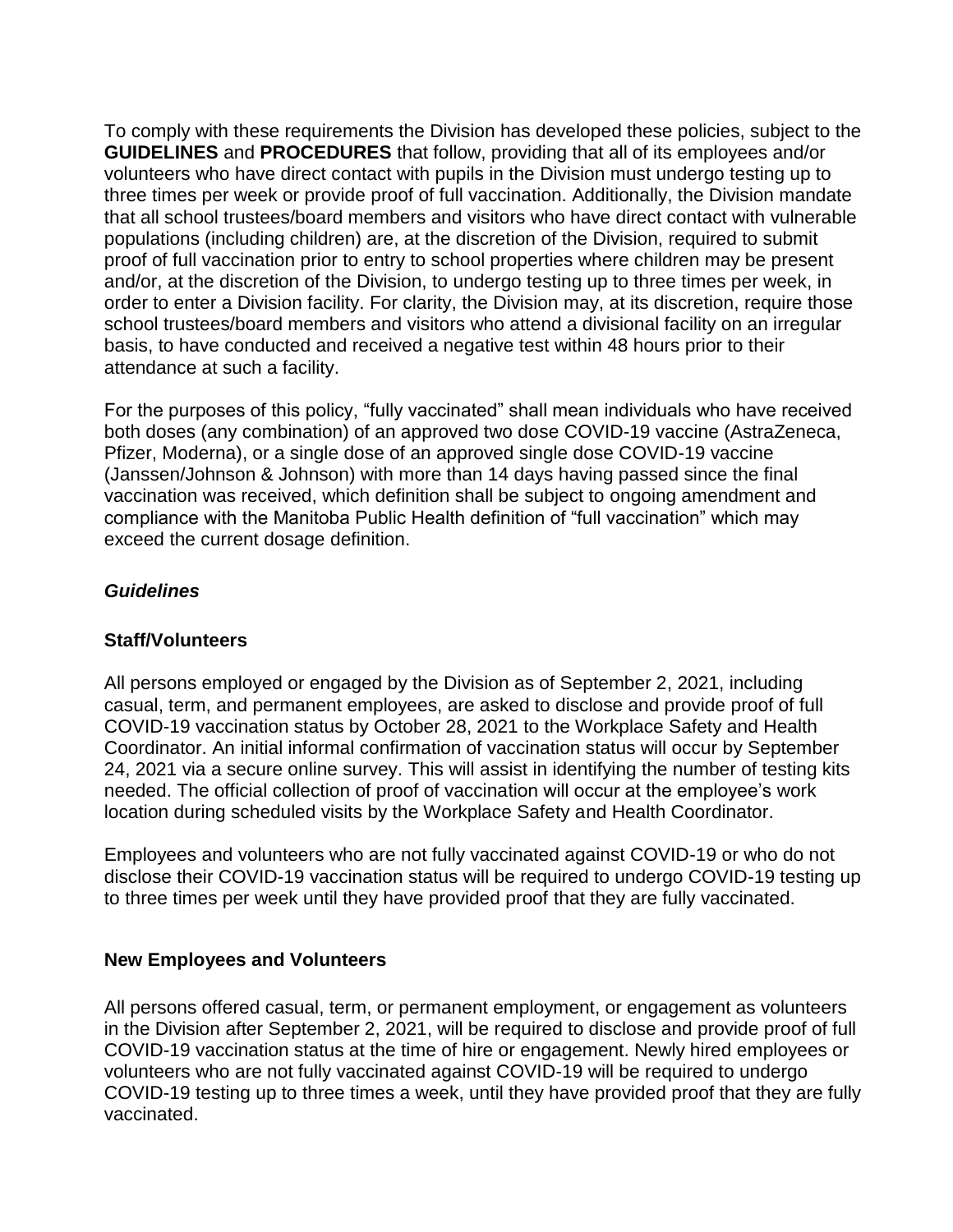To comply with these requirements the Division has developed these policies, subject to the **GUIDELINES** and **PROCEDURES** that follow, providing that all of its employees and/or volunteers who have direct contact with pupils in the Division must undergo testing up to three times per week or provide proof of full vaccination. Additionally, the Division mandate that all school trustees/board members and visitors who have direct contact with vulnerable populations (including children) are, at the discretion of the Division, required to submit proof of full vaccination prior to entry to school properties where children may be present and/or, at the discretion of the Division, to undergo testing up to three times per week, in order to enter a Division facility. For clarity, the Division may, at its discretion, require those school trustees/board members and visitors who attend a divisional facility on an irregular basis, to have conducted and received a negative test within 48 hours prior to their attendance at such a facility.

For the purposes of this policy, "fully vaccinated" shall mean individuals who have received both doses (any combination) of an approved two dose COVID-19 vaccine (AstraZeneca, Pfizer, Moderna), or a single dose of an approved single dose COVID-19 vaccine (Janssen/Johnson & Johnson) with more than 14 days having passed since the final vaccination was received, which definition shall be subject to ongoing amendment and compliance with the Manitoba Public Health definition of "full vaccination" which may exceed the current dosage definition.

# *Guidelines*

#### **Staff/Volunteers**

All persons employed or engaged by the Division as of September 2, 2021, including casual, term, and permanent employees, are asked to disclose and provide proof of full COVID-19 vaccination status by October 28, 2021 to the Workplace Safety and Health Coordinator. An initial informal confirmation of vaccination status will occur by September 24, 2021 via a secure online survey. This will assist in identifying the number of testing kits needed. The official collection of proof of vaccination will occur at the employee's work location during scheduled visits by the Workplace Safety and Health Coordinator.

Employees and volunteers who are not fully vaccinated against COVID-19 or who do not disclose their COVID-19 vaccination status will be required to undergo COVID-19 testing up to three times per week until they have provided proof that they are fully vaccinated.

#### **New Employees and Volunteers**

All persons offered casual, term, or permanent employment, or engagement as volunteers in the Division after September 2, 2021, will be required to disclose and provide proof of full COVID-19 vaccination status at the time of hire or engagement. Newly hired employees or volunteers who are not fully vaccinated against COVID-19 will be required to undergo COVID-19 testing up to three times a week, until they have provided proof that they are fully vaccinated.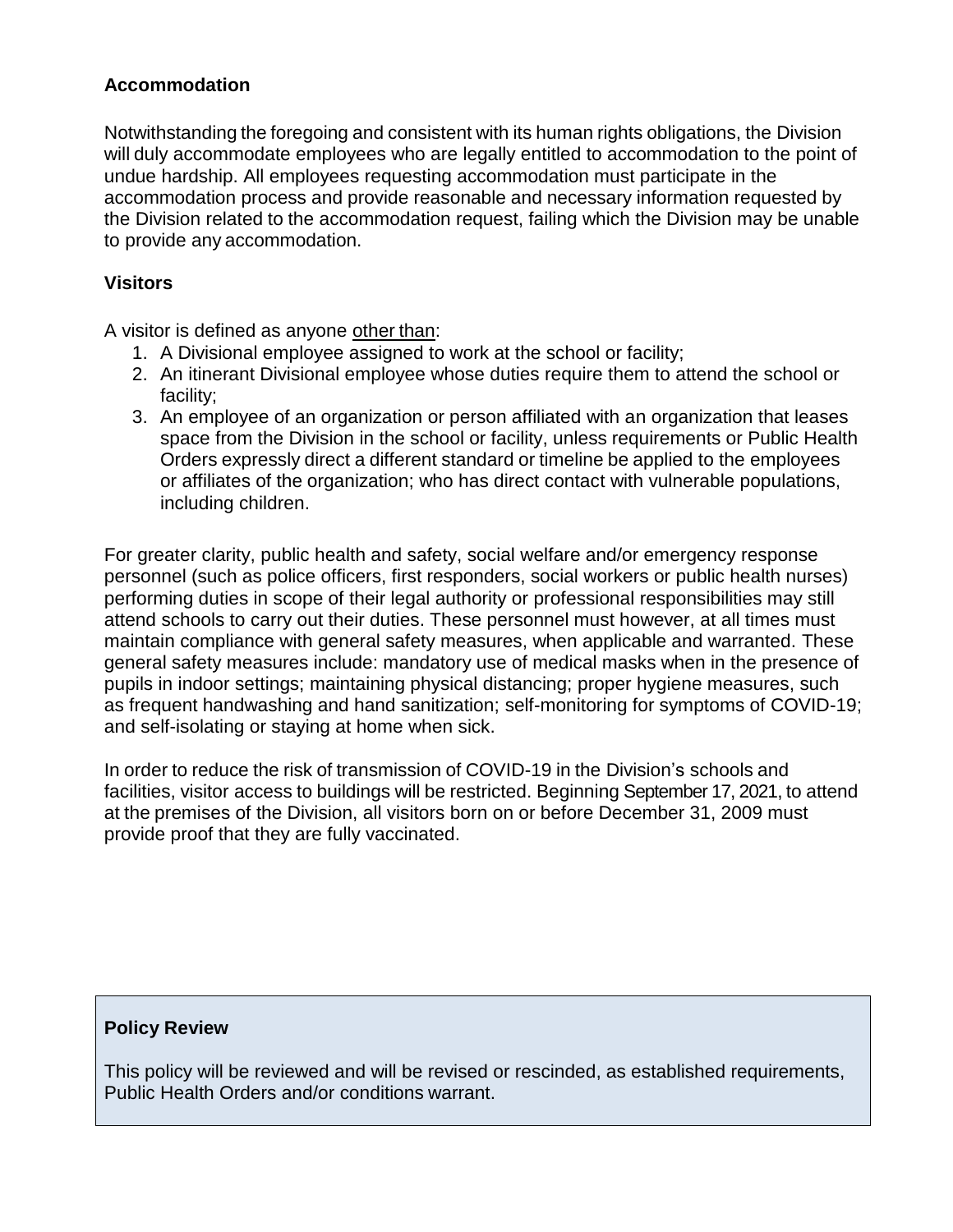### **Accommodation**

Notwithstanding the foregoing and consistent with its human rights obligations, the Division will duly accommodate employees who are legally entitled to accommodation to the point of undue hardship. All employees requesting accommodation must participate in the accommodation process and provide reasonable and necessary information requested by the Division related to the accommodation request, failing which the Division may be unable to provide any accommodation.

### **Visitors**

A visitor is defined as anyone other than:

- 1. A Divisional employee assigned to work at the school or facility;
- 2. An itinerant Divisional employee whose duties require them to attend the school or facility;
- 3. An employee of an organization or person affiliated with an organization that leases space from the Division in the school or facility, unless requirements or Public Health Orders expressly direct a different standard or timeline be applied to the employees or affiliates of the organization; who has direct contact with vulnerable populations, including children.

For greater clarity, public health and safety, social welfare and/or emergency response personnel (such as police officers, first responders, social workers or public health nurses) performing duties in scope of their legal authority or professional responsibilities may still attend schools to carry out their duties. These personnel must however, at all times must maintain compliance with general safety measures, when applicable and warranted. These general safety measures include: mandatory use of medical masks when in the presence of pupils in indoor settings; maintaining physical distancing; proper hygiene measures, such as frequent handwashing and hand sanitization; self-monitoring for symptoms of COVID-19; and self-isolating or staying at home when sick.

In order to reduce the risk of transmission of COVID-19 in the Division's schools and facilities, visitor access to buildings will be restricted. Beginning September 17, 2021, to attend at the premises of the Division, all visitors born on or before December 31, 2009 must provide proof that they are fully vaccinated.

#### **Policy Review**

This policy will be reviewed and will be revised or rescinded, as established requirements, Public Health Orders and/or conditions warrant.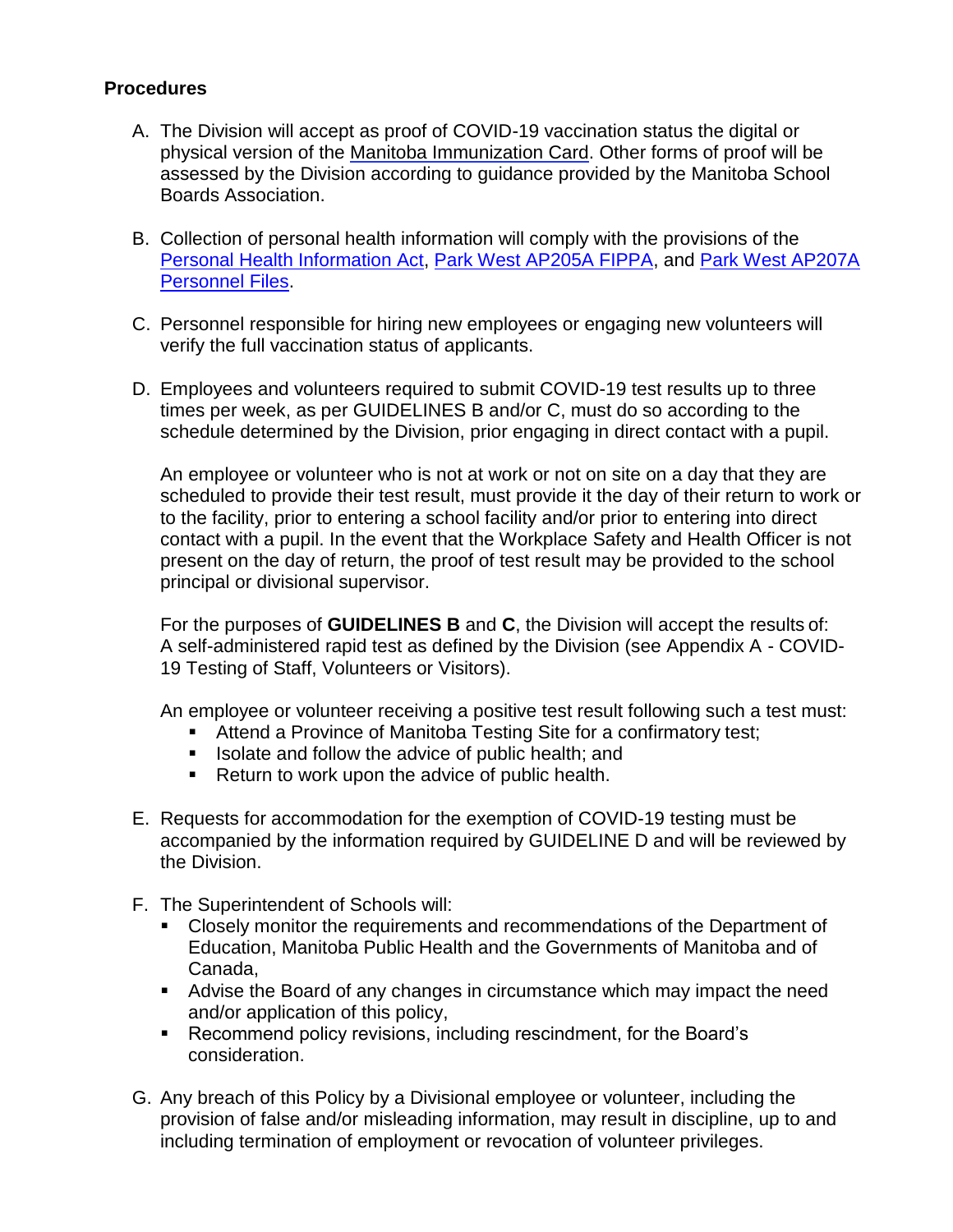# **Procedures**

- A. The Division will accept as proof of COVID-19 vaccination status the digital or physical version of the [Manitoba Immunization Card. O](https://www.gov.mb.ca/covid19/vaccine/immunizationrecord/residents.html)ther forms of proof will be assessed by the Division according to guidance provided by the Manitoba School Boards Association.
- B. Collection of personal health information will comply with the provisions of the [Personal Health Information Act,](https://web2.gov.mb.ca/laws/statutes/ccsm/p033-5e.php) [Park West AP205A FIPPA,](https://18317c08-e9a6-4039-b676-255dc0826105.filesusr.com/ugd/656403_9669b261f85646aa827aa46669f52f8c.pdf) and [Park West AP207A](https://18317c08-e9a6-4039-b676-255dc0826105.filesusr.com/ugd/656403_1557a873c20c42fb85cd99074d31234f.pdf)  [Personnel Files.](https://18317c08-e9a6-4039-b676-255dc0826105.filesusr.com/ugd/656403_1557a873c20c42fb85cd99074d31234f.pdf)
- C. Personnel responsible for hiring new employees or engaging new volunteers will verify the full vaccination status of applicants.
- D. Employees and volunteers required to submit COVID-19 test results up to three times per week, as per GUIDELINES B and/or C, must do so according to the schedule determined by the Division, prior engaging in direct contact with a pupil.

An employee or volunteer who is not at work or not on site on a day that they are scheduled to provide their test result, must provide it the day of their return to work or to the facility, prior to entering a school facility and/or prior to entering into direct contact with a pupil. In the event that the Workplace Safety and Health Officer is not present on the day of return, the proof of test result may be provided to the school principal or divisional supervisor.

For the purposes of **GUIDELINES B** and **C**, the Division will accept the results of: A self-administered rapid test as defined by the Division (see Appendix A - COVID-19 Testing of Staff, Volunteers or Visitors).

An employee or volunteer receiving a positive test result following such a test must:

- Attend a Province of Manitoba Testing Site for a confirmatory test;
- I Isolate and follow the advice of public health; and
- Return to work upon the advice of public health.
- E. Requests for accommodation for the exemption of COVID-19 testing must be accompanied by the information required by GUIDELINE D and will be reviewed by the Division.
- F. The Superintendent of Schools will:
	- Closely monitor the requirements and recommendations of the Department of Education, Manitoba Public Health and the Governments of Manitoba and of Canada,
	- Advise the Board of any changes in circumstance which may impact the need and/or application of this policy,
	- **Recommend policy revisions, including rescindment, for the Board's** consideration.
- G. Any breach of this Policy by a Divisional employee or volunteer, including the provision of false and/or misleading information, may result in discipline, up to and including termination of employment or revocation of volunteer privileges.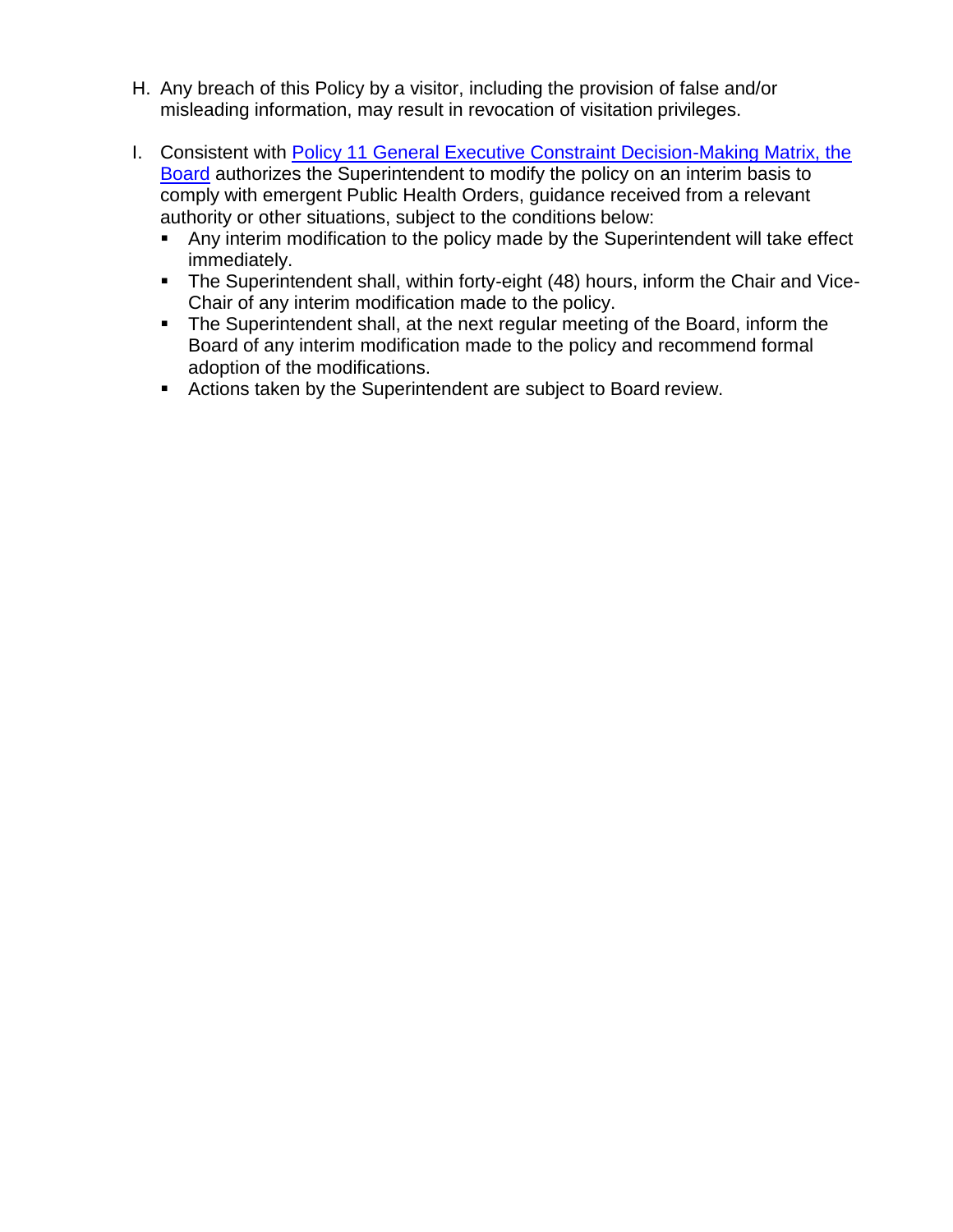- H. Any breach of this Policy by a visitor, including the provision of false and/or misleading information, may result in revocation of visitation privileges.
- I. Consistent with [Policy 11 General Executive Constraint Decision-Making Matrix, the](https://18317c08-e9a6-4039-b676-255dc0826105.filesusr.com/ugd/656403_d27aeb963e4f418e8c03f2bbaa4a6bf2.pdf)  [Board](https://18317c08-e9a6-4039-b676-255dc0826105.filesusr.com/ugd/656403_d27aeb963e4f418e8c03f2bbaa4a6bf2.pdf) authorizes the Superintendent to modify the policy on an interim basis to comply with emergent Public Health Orders, guidance received from a relevant authority or other situations, subject to the conditions below:
	- Any interim modification to the policy made by the Superintendent will take effect immediately.
	- The Superintendent shall, within forty-eight (48) hours, inform the Chair and Vice-Chair of any interim modification made to the policy.
	- **The Superintendent shall, at the next regular meeting of the Board, inform the** Board of any interim modification made to the policy and recommend formal adoption of the modifications.
	- Actions taken by the Superintendent are subject to Board review.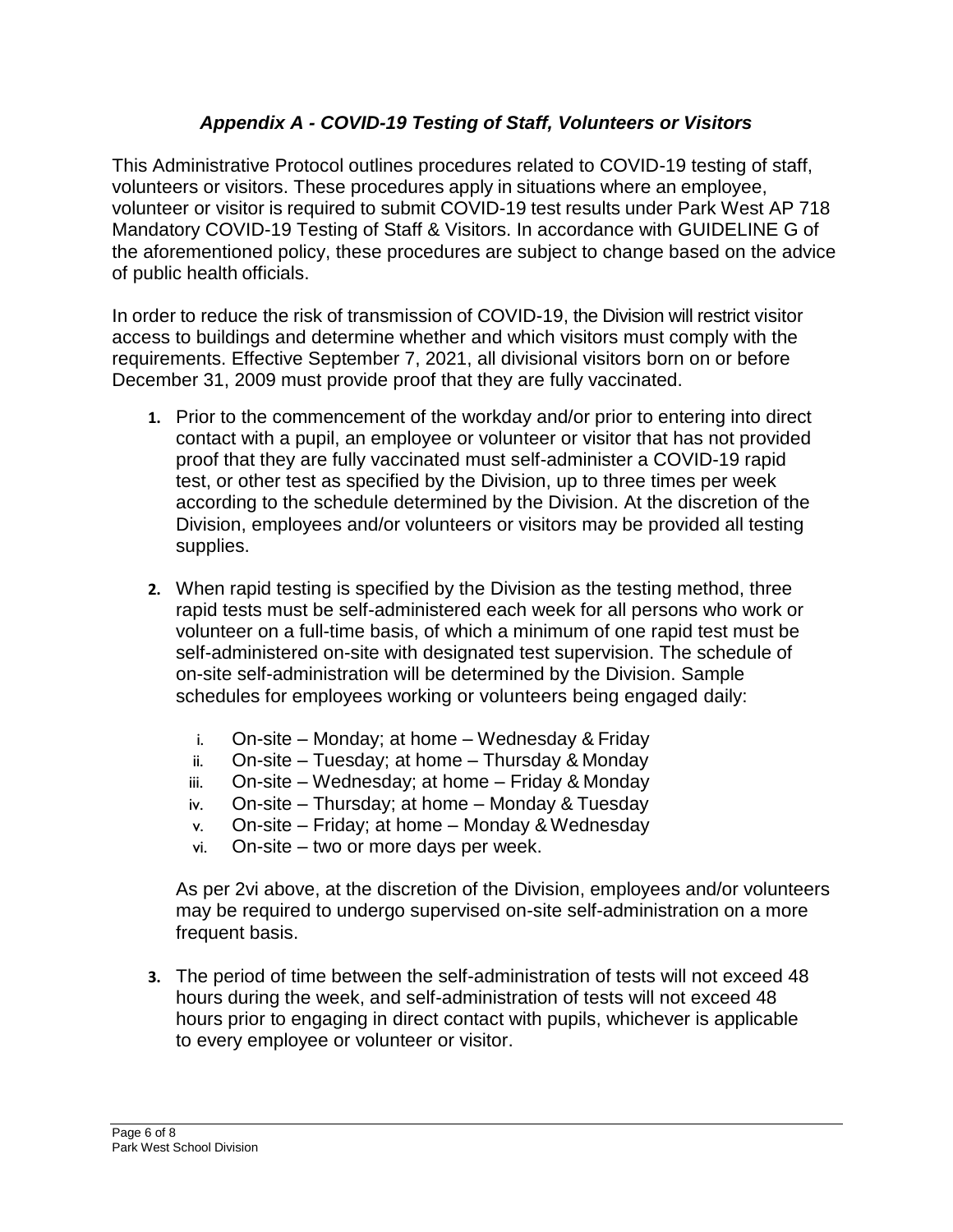# *Appendix A - COVID-19 Testing of Staff, Volunteers or Visitors*

This Administrative Protocol outlines procedures related to COVID-19 testing of staff, volunteers or visitors. These procedures apply in situations where an employee, volunteer or visitor is required to submit COVID-19 test results under Park West AP 718 Mandatory COVID-19 Testing of Staff & Visitors. In accordance with GUIDELINE G of the aforementioned policy, these procedures are subject to change based on the advice of public health officials.

In order to reduce the risk of transmission of COVID-19, the Division will restrict visitor access to buildings and determine whether and which visitors must comply with the requirements. Effective September 7, 2021, all divisional visitors born on or before December 31, 2009 must provide proof that they are fully vaccinated.

- **1.** Prior to the commencement of the workday and/or prior to entering into direct contact with a pupil, an employee or volunteer or visitor that has not provided proof that they are fully vaccinated must self-administer a COVID-19 rapid test, or other test as specified by the Division, up to three times per week according to the schedule determined by the Division. At the discretion of the Division, employees and/or volunteers or visitors may be provided all testing supplies.
- **2.** When rapid testing is specified by the Division as the testing method, three rapid tests must be self-administered each week for all persons who work or volunteer on a full-time basis, of which a minimum of one rapid test must be self-administered on-site with designated test supervision. The schedule of on-site self-administration will be determined by the Division. Sample schedules for employees working or volunteers being engaged daily:
	- i. On-site Monday; at home Wednesday & Friday
	- ii. On-site Tuesday; at home Thursday & Monday
	- iii. On-site Wednesday; at home Friday & Monday
	- iv. On-site Thursday; at home Monday & Tuesday
	- v. On-site Friday; at home Monday & Wednesday
	- vi. On-site two or more days per week.

As per 2vi above, at the discretion of the Division, employees and/or volunteers may be required to undergo supervised on-site self-administration on a more frequent basis.

**3.** The period of time between the self-administration of tests will not exceed 48 hours during the week, and self-administration of tests will not exceed 48 hours prior to engaging in direct contact with pupils, whichever is applicable to every employee or volunteer or visitor.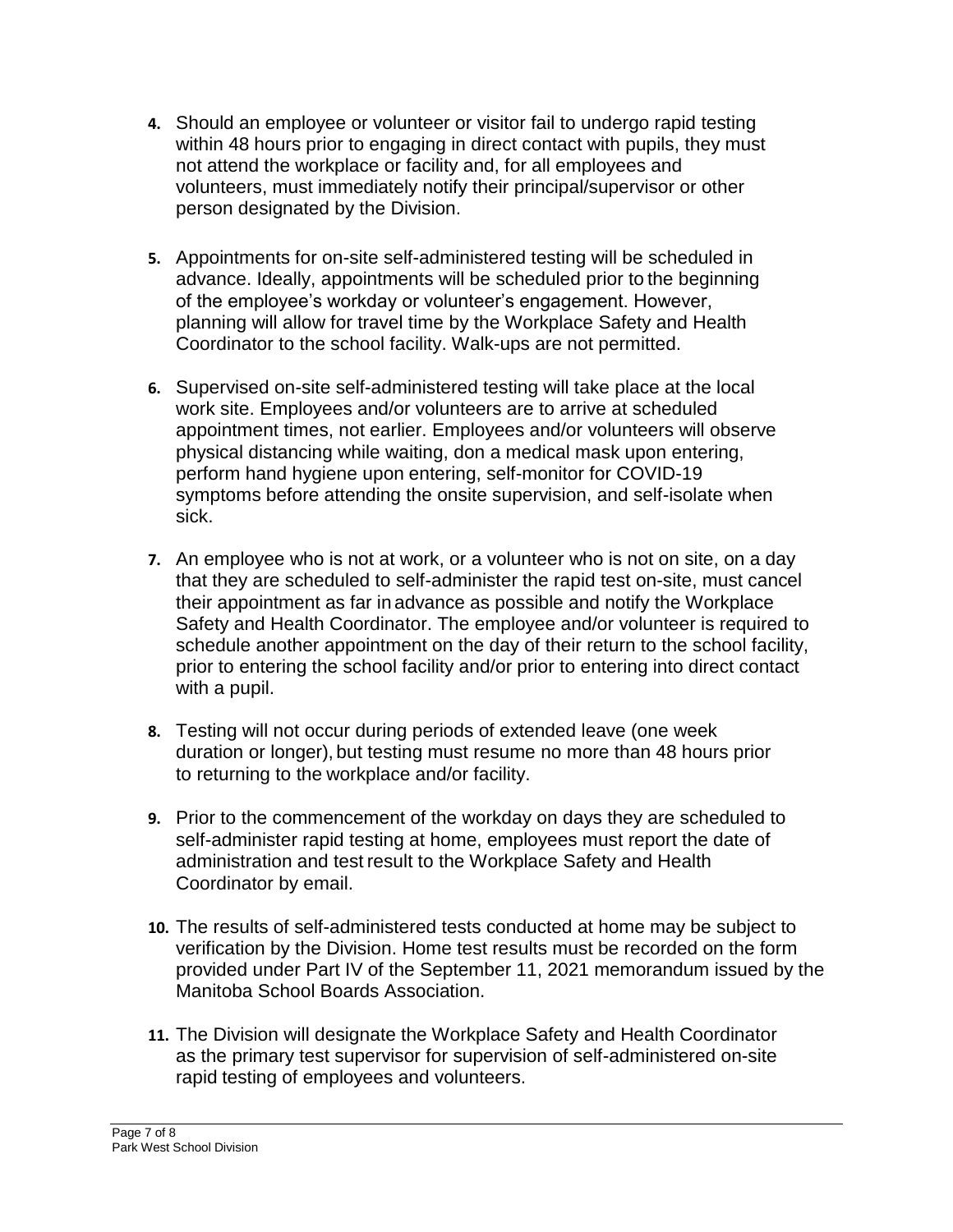- **4.** Should an employee or volunteer or visitor fail to undergo rapid testing within 48 hours prior to engaging in direct contact with pupils, they must not attend the workplace or facility and, for all employees and volunteers, must immediately notify their principal/supervisor or other person designated by the Division.
- **5.** Appointments for on-site self-administered testing will be scheduled in advance. Ideally, appointments will be scheduled prior to the beginning of the employee's workday or volunteer's engagement. However, planning will allow for travel time by the Workplace Safety and Health Coordinator to the school facility. Walk-ups are not permitted.
- **6.** Supervised on-site self-administered testing will take place at the local work site. Employees and/or volunteers are to arrive at scheduled appointment times, not earlier. Employees and/or volunteers will observe physical distancing while waiting, don a medical mask upon entering, perform hand hygiene upon entering, self-monitor for COVID-19 symptoms before attending the onsite supervision, and self-isolate when sick.
- **7.** An employee who is not at work, or a volunteer who is not on site, on a day that they are scheduled to self-administer the rapid test on-site, must cancel their appointment as far in advance as possible and notify the Workplace Safety and Health Coordinator. The employee and/or volunteer is required to schedule another appointment on the day of their return to the school facility, prior to entering the school facility and/or prior to entering into direct contact with a pupil.
- **8.** Testing will not occur during periods of extended leave (one week duration or longer), but testing must resume no more than 48 hours prior to returning to the workplace and/or facility.
- **9.** Prior to the commencement of the workday on days they are scheduled to self-administer rapid testing at home, employees must report the date of administration and test result to the Workplace Safety and Health Coordinator by email.
- **10.** The results of self-administered tests conducted at home may be subject to verification by the Division. Home test results must be recorded on the form provided under Part IV of the September 11, 2021 memorandum issued by the Manitoba School Boards Association.
- **11.** The Division will designate the Workplace Safety and Health Coordinator as the primary test supervisor for supervision of self-administered on-site rapid testing of employees and volunteers.